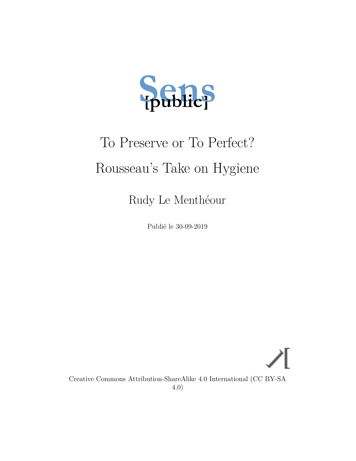

# To Preserve or To Perfect? Rousseau's Take on Hygiene

Rudy Le Menthéour

Publié le 30-09-2019

Creative Commons Attribution-ShareAlike 4.0 International (CC BY-SA 4.0)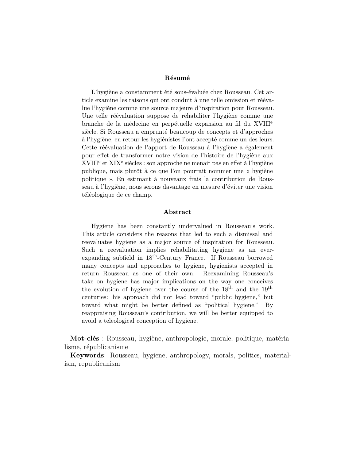#### **Résumé**

L'hygiène a constamment été sous-évaluée chez Rousseau. Cet article examine les raisons qui ont conduit à une telle omission et réévalue l'hygiène comme une source majeure d'inspiration pour Rousseau. Une telle réévaluation suppose de réhabiliter l'hygiène comme une branche de la médecine en perpétuelle expansion au fil du XVIII<sup>e</sup> siècle. Si Rousseau a emprunté beaucoup de concepts et d'approches à l'hygiène, en retour les hygiénistes l'ont accepté comme un des leurs. Cette réévaluation de l'apport de Rousseau à l'hygiène a également pour effet de transformer notre vision de l'histoire de l'hygiène aux XVIII<sup>e</sup> et XIX<sup>e</sup> siècles : son approche ne menait pas en effet à l'hygiène publique, mais plutôt à ce que l'on pourrait nommer une « hygiène politique ». En estimant à nouveaux frais la contribution de Rousseau à l'hygiène, nous serons davantage en mesure d'éviter une vision téléologique de ce champ.

#### **Abstract**

Hygiene has been constantly undervalued in Rousseau's work. This article considers the reasons that led to such a dismissal and reevaluates hygiene as a major source of inspiration for Rousseau. Such a reevaluation implies rehabilitating hygiene as an everexpanding subfield in 18th-Century France. If Rousseau borrowed many concepts and approaches to hygiene, hygienists accepted in return Rousseau as one of their own. Reexamining Rousseau's take on hygiene has major implications on the way one conceives the evolution of hygiene over the course of the  $18<sup>th</sup>$  and the  $19<sup>th</sup>$ centuries: his approach did not lead toward "public hygiene," but toward what might be better defined as "political hygiene." By reappraising Rousseau's contribution, we will be better equipped to avoid a teleological conception of hygiene.

**Mot-clés** : Rousseau, hygiène, anthropologie, morale, politique, matérialisme, républicanisme

**Keywords**: Rousseau, hygiene, anthropology, morals, politics, materialism, republicanism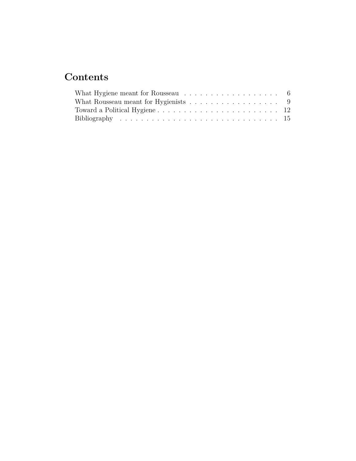# **Contents**

| What Hygiene meant for Rousseau $\dots \dots \dots \dots \dots \dots \dots$ 6 |  |  |  |  |  |  |  |  |  |
|-------------------------------------------------------------------------------|--|--|--|--|--|--|--|--|--|
| What Rousseau meant for Hygienists $\ldots \ldots \ldots \ldots \ldots$       |  |  |  |  |  |  |  |  |  |
|                                                                               |  |  |  |  |  |  |  |  |  |
|                                                                               |  |  |  |  |  |  |  |  |  |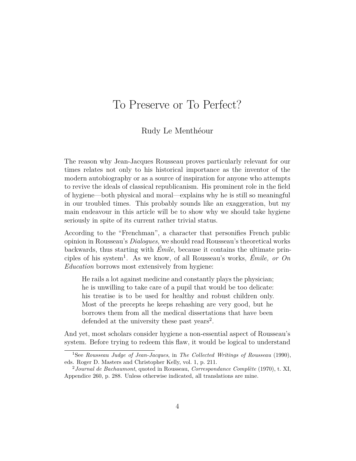## To Preserve or To Perfect?

### Rudy Le Menthéour

The reason why Jean-Jacques Rousseau proves particularly relevant for our times relates not only to his historical importance as the inventor of the modern autobiography or as a source of inspiration for anyone who attempts to revive the ideals of classical republicanism. His prominent role in the field of hygiene—both physical and moral—explains why he is still so meaningful in our troubled times. This probably sounds like an exaggeration, but my main endeavour in this article will be to show why we should take hygiene seriously in spite of its current rather trivial status.

According to the "Frenchman", a character that personifies French public opinion in Rousseau's *Dialogues*, we should read Rousseau's theoretical works backwards, thus starting with *Émile*, because it contains the ultimate principles of his system[1](#page-3-0) . As we know, of all Rousseau's works, *Émile, or On Education* borrows most extensively from hygiene:

He rails a lot against medicine and constantly plays the physician; he is unwilling to take care of a pupil that would be too delicate: his treatise is to be used for healthy and robust children only. Most of the precepts he keeps rehashing are very good, but he borrows them from all the medical dissertations that have been defended at the university these past years<sup>[2](#page-3-1)</sup>.

And yet, most scholars consider hygiene a non-essential aspect of Rousseau's system. Before trying to redeem this flaw, it would be logical to understand

<span id="page-3-0"></span><sup>1</sup>See *Rousseau Judge of Jean-Jacques*, in *The Collected Writings of Rousseau* [\(1990](#page-16-0)), eds. Roger D. Masters and Christopher Kelly, vol. 1, p. 211.

<span id="page-3-1"></span><sup>2</sup>*Journal de Bachaumont*, quoted in Rousseau, *Correspondance Complète* ([1970\)](#page-16-1), t. XI, Appendice 260, p. 288. Unless otherwise indicated, all translations are mine.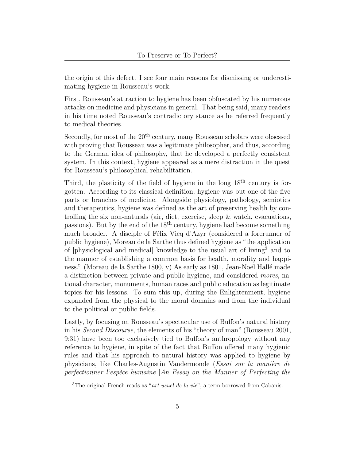the origin of this defect. I see four main reasons for dismissing or underestimating hygiene in Rousseau's work.

First, Rousseau's attraction to hygiene has been obfuscated by his numerous attacks on medicine and physicians in general. That being said, many readers in his time noted Rousseau's contradictory stance as he referred frequently to medical theories.

Secondly, for most of the  $20<sup>th</sup>$  century, many Rousseau scholars were obsessed with proving that Rousseau was a legitimate philosopher, and thus, according to the German idea of philosophy, that he developed a perfectly consistent system. In this context, hygiene appeared as a mere distraction in the quest for Rousseau's philosophical rehabilitation.

Third, the plasticity of the field of hygiene in the long  $18<sup>th</sup>$  century is forgotten. According to its classical definition, hygiene was but one of the five parts or branches of medicine. Alongside physiology, pathology, semiotics and therapeutics, hygiene was defined as the art of preserving health by controlling the six non-naturals (air, diet, exercise, sleep & watch, evacuations, passions). But by the end of the  $18<sup>th</sup>$  century, hygiene had become something much broader. A disciple of Félix Vicq d'Azyr (considered a forerunner of public hygiene), Moreau de la Sarthe thus defined hygiene as "the application of [physiological and medical] knowledge to the usual art of living[3](#page-4-0) and to the manner of establishing a common basis for health, morality and happiness." (Moreau de la Sarthe [1800](#page-15-0), v) As early as 1801, Jean-Noël Hallé made a distinction between private and public hygiene, and considered *mores*, national character, monuments, human races and public education as legitimate topics for his lessons. To sum this up, during the Enlightenment, hygiene expanded from the physical to the moral domains and from the individual to the political or public fields.

Lastly, by focusing on Rousseau's spectacular use of Buffon's natural history in his *Second Discourse*, the elements of his "theory of man" (Rousseau [2001,](#page-16-2) 9:31) have been too exclusively tied to Buffon's anthropology without any reference to hygiene, in spite of the fact that Buffon offered many hygienic rules and that his approach to natural history was applied to hygiene by physicians, like Charles-Augustin Vandermonde (*Essai sur la manière de perfectionner l'espèce humaine* [*An Essay on the Manner of Perfecting the*

<span id="page-4-0"></span><sup>&</sup>lt;sup>3</sup>The original French reads as "*art usuel de la vie*", a term borrowed from Cabanis.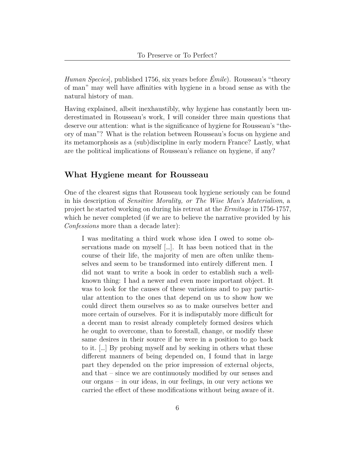*Human Species*], published 1756, six years before *Émile*). Rousseau's "theory of man" may well have affinities with hygiene in a broad sense as with the natural history of man.

Having explained, albeit inexhaustibly, why hygiene has constantly been underestimated in Rousseau's work, I will consider three main questions that deserve our attention: what is the significance of hygiene for Rousseau's "theory of man"? What is the relation between Rousseau's focus on hygiene and its metamorphosis as a (sub)discipline in early modern France? Lastly, what are the political implications of Rousseau's reliance on hygiene, if any?

#### <span id="page-5-0"></span>**What Hygiene meant for Rousseau**

One of the clearest signs that Rousseau took hygiene seriously can be found in his description of *Sensitive Morality, or The Wise Man's Materialism*, a project he started working on during his retreat at the *Ermitage* in 1756-1757, which he never completed (if we are to believe the narrative provided by his *Confessions* more than a decade later):

I was meditating a third work whose idea I owed to some observations made on myself […]. It has been noticed that in the course of their life, the majority of men are often unlike themselves and seem to be transformed into entirely different men. I did not want to write a book in order to establish such a wellknown thing: I had a newer and even more important object. It was to look for the causes of these variations and to pay particular attention to the ones that depend on us to show how we could direct them ourselves so as to make ourselves better and more certain of ourselves. For it is indisputably more difficult for a decent man to resist already completely formed desires which he ought to overcome, than to forestall, change, or modify these same desires in their source if he were in a position to go back to it. […] By probing myself and by seeking in others what these different manners of being depended on, I found that in large part they depended on the prior impression of external objects, and that – since we are continuously modified by our senses and our organs – in our ideas, in our feelings, in our very actions we carried the effect of these modifications without being aware of it.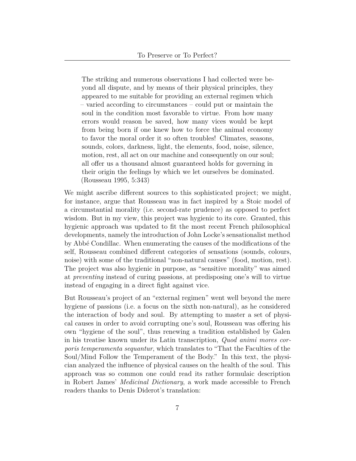The striking and numerous observations I had collected were beyond all dispute, and by means of their physical principles, they appeared to me suitable for providing an external regimen which – varied according to circumstances – could put or maintain the soul in the condition most favorable to virtue. From how many errors would reason be saved, how many vices would be kept from being born if one knew how to force the animal economy to favor the moral order it so often troubles! Climates, seasons, sounds, colors, darkness, light, the elements, food, noise, silence, motion, rest, all act on our machine and consequently on our soul; all offer us a thousand almost guaranteed holds for governing in their origin the feelings by which we let ourselves be dominated. (Rousseau [1995](#page-16-3), 5:343)

We might ascribe different sources to this sophisticated project; we might, for instance, argue that Rousseau was in fact inspired by a Stoic model of a circumstantial morality (i.e. second-rate prudence) as opposed to perfect wisdom. But in my view, this project was hygienic to its core. Granted, this hygienic approach was updated to fit the most recent French philosophical developments, namely the introduction of John Locke's sensationalist method by Abbé Condillac. When enumerating the causes of the modifications of the self, Rousseau combined different categories of sensations (sounds, colours, noise) with some of the traditional "non-natural causes" (food, motion, rest). The project was also hygienic in purpose, as "sensitive morality" was aimed at *preventing* instead of curing passions, at predisposing one's will to virtue instead of engaging in a direct fight against vice.

But Rousseau's project of an "external regimen" went well beyond the mere hygiene of passions (i.e. a focus on the sixth non-natural), as he considered the interaction of body and soul. By attempting to master a set of physical causes in order to avoid corrupting one's soul, Rousseau was offering his own "hygiene of the soul", thus renewing a tradition established by Galen in his treatise known under its Latin transcription, *Quod animi mores corporis temperamenta sequantur*, which translates to "That the Faculties of the Soul/Mind Follow the Temperament of the Body." In this text, the physician analyzed the influence of physical causes on the health of the soul. This approach was so common one could read its rather formulaic description in Robert James' *Medicinal Dictionary*, a work made accessible to French readers thanks to Denis Diderot's translation: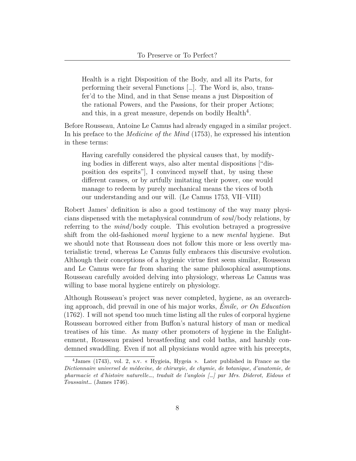Health is a right Disposition of the Body, and all its Parts, for performing their several Functions […]. The Word is, also, transfer'd to the Mind, and in that Sense means a just Disposition of the rational Powers, and the Passions, for their proper Actions; and this, in a great measure, depends on bodily Health<sup>[4](#page-7-0)</sup>.

Before Rousseau, Antoine Le Camus had already engaged in a similar project. In his preface to the *Medicine of the Mind* (1753), he expressed his intention in these terms:

Having carefully considered the physical causes that, by modifying bodies in different ways, also alter mental dispositions ["disposition des esprits"], I convinced myself that, by using these different causes, or by artfully imitating their power, one would manage to redeem by purely mechanical means the vices of both our understanding and our will. (Le Camus [1753,](#page-15-1) VII–VIII)

Robert James' definition is also a good testimony of the way many physicians dispensed with the metaphysical conundrum of *soul*/body relations, by referring to the *mind*/body couple. This evolution betrayed a progressive shift from the old-fashioned *moral* hygiene to a new *mental* hygiene. But we should note that Rousseau does not follow this more or less overtly materialistic trend, whereas Le Camus fully embraces this discursive evolution. Although their conceptions of a hygienic virtue first seem similar, Rousseau and Le Camus were far from sharing the same philosophical assumptions. Rousseau carefully avoided delving into physiology, whereas Le Camus was willing to base moral hygiene entirely on physiology.

Although Rousseau's project was never completed, hygiene, as an overarching approach, did prevail in one of his major works, *Émile, or On Education* (1762). I will not spend too much time listing all the rules of corporal hygiene Rousseau borrowed either from Buffon's natural history of man or medical treatises of his time. As many other promoters of hygiene in the Enlightenment, Rousseau praised breastfeeding and cold baths, and harshly condemned swaddling. Even if not all physicians would agree with his precepts,

<span id="page-7-0"></span><sup>4</sup>James [\(1743](#page-15-2)), vol. 2, s.v. « Hygieia, Hygeia ». Later published in France as the *Dictionnaire universel de médecine, de chirurgie, de chymie, de botanique, d'anatomie, de pharmacie et d'histoire naturelle…*, *traduit de l'anglois […] par Mrs. Diderot, Eidous et Toussaint…* (James [1746](#page-15-3)).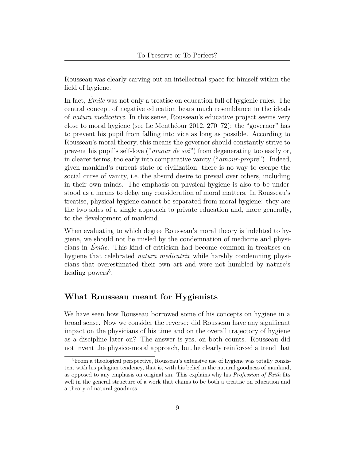Rousseau was clearly carving out an intellectual space for himself within the field of hygiene.

In fact, *Émile* was not only a treatise on education full of hygienic rules. The central concept of negative education bears much resemblance to the ideals of *natura medicatrix*. In this sense, Rousseau's educative project seems very close to moral hygiene (see Le Menthéour [2012](#page-15-4), 270–72): the "governor" has to prevent his pupil from falling into vice as long as possible. According to Rousseau's moral theory, this means the governor should constantly strive to prevent his pupil's self-love ("*amour de soi*") from degenerating too easily or, in clearer terms, too early into comparative vanity ("*amour-propre*"). Indeed, given mankind's current state of civilization, there is no way to escape the social curse of vanity, i.e. the absurd desire to prevail over others, including in their own minds. The emphasis on physical hygiene is also to be understood as a means to delay any consideration of moral matters. In Rousseau's treatise, physical hygiene cannot be separated from moral hygiene: they are the two sides of a single approach to private education and, more generally, to the development of mankind.

When evaluating to which degree Rousseau's moral theory is indebted to hygiene, we should not be misled by the condemnation of medicine and physicians in *Émile*. This kind of criticism had become common in treatises on hygiene that celebrated *natura medicatrix* while harshly condemning physicians that overestimated their own art and were not humbled by nature's healing powers<sup>[5](#page-8-1)</sup>.

### <span id="page-8-0"></span>**What Rousseau meant for Hygienists**

We have seen how Rousseau borrowed some of his concepts on hygiene in a broad sense. Now we consider the reverse: did Rousseau have any significant impact on the physicians of his time and on the overall trajectory of hygiene as a discipline later on? The answer is yes, on both counts. Rousseau did not invent the physico-moral approach, but he clearly reinforced a trend that

<span id="page-8-1"></span><sup>&</sup>lt;sup>5</sup>From a theological perspective, Rousseau's extensive use of hygiene was totally consistent with his pelagian tendency, that is, with his belief in the natural goodness of mankind, as opposed to any emphasis on original sin. This explains why his *Profession of Faith* fits well in the general structure of a work that claims to be both a treatise on education and a theory of natural goodness.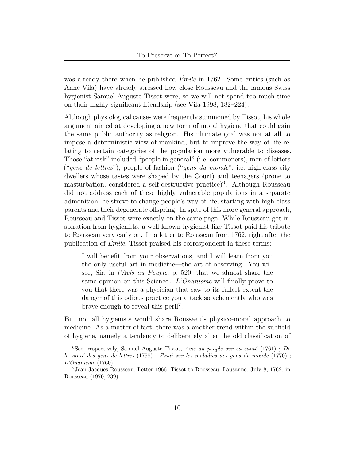was already there when he published *Émile* in 1762. Some critics (such as Anne Vila) have already stressed how close Rousseau and the famous Swiss hygienist Samuel Auguste Tissot were, so we will not spend too much time on their highly significant friendship (see Vila [1998](#page-16-4), 182–224).

Although physiological causes were frequently summoned by Tissot, his whole argument aimed at developing a new form of moral hygiene that could gain the same public authority as religion. His ultimate goal was not at all to impose a deterministic view of mankind, but to improve the way of life relating to certain categories of the population more vulnerable to diseases. Those "at risk" included "people in general" (i.e. commoners), men of letters ("*gens de lettres*"), people of fashion ("*gens du monde*", i.e. high-class city dwellers whose tastes were shaped by the Court) and teenagers (prone to masturbation, considered a self-destructive practice)<sup>[6](#page-9-0)</sup>. Although Rousseau did not address each of these highly vulnerable populations in a separate admonition, he strove to change people's way of life, starting with high-class parents and their degenerate offspring. In spite of this more general approach, Rousseau and Tissot were exactly on the same page. While Rousseau got inspiration from hygienists, a well-known hygienist like Tissot paid his tribute to Rousseau very early on. In a letter to Rousseau from 1762, right after the publication of *Émile*, Tissot praised his correspondent in these terms:

I will benefit from your observations, and I will learn from you the only useful art in medicine—the art of observing. You will see, Sir, in *l'Avis au Peuple*, p. 520, that we almost share the same opinion on this Science… *L'Onanisme* will finally prove to you that there was a physician that saw to its fullest extent the danger of this odious practice you attack so vehemently who was brave enough to reveal this peril<sup>[7](#page-9-1)</sup>.

But not all hygienists would share Rousseau's physico-moral approach to medicine. As a matter of fact, there was a another trend within the subfield of hygiene, namely a tendency to deliberately alter the old classification of

<span id="page-9-0"></span><sup>6</sup>See, respectively, Samuel Auguste Tissot, *Avis au peuple sur sa santé* [\(1761](#page-16-5)) ; *De la santé des gens de lettres* ([1758\)](#page-16-6) ; *Essai sur les maladies des gens du monde* [\(1770](#page-16-7)) ; *L'Onanisme* ([1760\)](#page-16-8).

<span id="page-9-1"></span><sup>7</sup>Jean-Jacques Rousseau, Letter 1966, Tissot to Rousseau, Lausanne, July 8, 1762, in Rousseau ([1970,](#page-16-1) 239).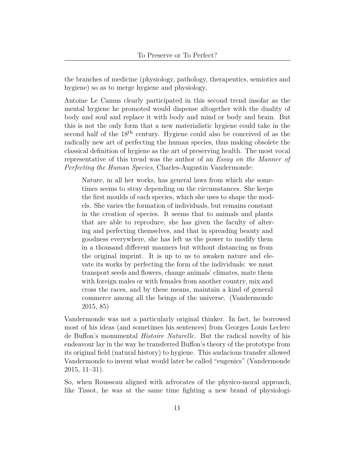the branches of medicine (physiology, pathology, therapeutics, semiotics and hygiene) so as to merge hygiene and physiology.

Antoine Le Camus clearly participated in this second trend insofar as the mental hygiene he promoted would dispense altogether with the duality of body and soul and replace it with body and mind or body and brain. But this is not the only form that a new materialistic hygiene could take in the second half of the  $18<sup>th</sup>$  century. Hygiene could also be conceived of as the radically new art of perfecting the human species, thus making obsolete the classical definition of hygiene as the art of preserving health. The most vocal representative of this trend was the author of an *Essay on the Manner of Perfecting the Human Species*, Charles-Augustin Vandermonde:

Nature, in all her works, has general laws from which she sometimes seems to stray depending on the circumstances. She keeps the first moulds of each species, which she uses to shape the models. She varies the formation of individuals, but remains constant in the creation of species. It seems that to animals and plants that are able to reproduce, she has given the faculty of altering and perfecting themselves, and that in spreading beauty and goodness everywhere, she has left us the power to modify them in a thousand different manners but without distancing us from the original imprint. It is up to us to awaken nature and elevate its works by perfecting the form of the individuals: we must transport seeds and flowers, change animals' climates, mate them with foreign males or with females from another country, mix and cross the races, and by these means, maintain a kind of general commerce among all the beings of the universe. (Vandermonde [2015](#page-16-9), 85)

Vandermonde was not a particularly original thinker. In fact, he borrowed most of his ideas (and sometimes his sentences) from Georges Louis Leclerc de Buffon's monumental *Histoire Naturelle*. But the radical novelty of his endeavour lay in the way he transferred Buffon's theory of the prototype from its original field (natural history) to hygiene. This audacious transfer allowed Vandermonde to invent what would later be called "eugenics" (Vandermonde [2015](#page-16-9), 11–31).

So, when Rousseau aligned with advocates of the physico-moral approach, like Tissot, he was at the same time fighting a new brand of physiologi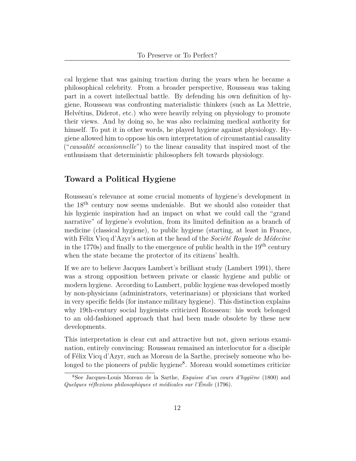cal hygiene that was gaining traction during the years when he became a philosophical celebrity. From a broader perspective, Rousseau was taking part in a covert intellectual battle. By defending his own definition of hygiene, Rousseau was confronting materialistic thinkers (such as La Mettrie, Helvétius, Diderot, etc.) who were heavily relying on physiology to promote their views. And by doing so, he was also reclaiming medical authority for himself. To put it in other words, he played hygiene against physiology. Hygiene allowed him to oppose his own interpretation of circumstantial causality ("*causalité occasionnelle*") to the linear causality that inspired most of the enthusiasm that deterministic philosophers felt towards physiology.

### <span id="page-11-0"></span>**Toward a Political Hygiene**

Rousseau's relevance at some crucial moments of hygiene's development in the 18th century now seems undeniable. But we should also consider that his hygienic inspiration had an impact on what we could call the "grand narrative" of hygiene's evolution, from its limited definition as a branch of medicine (classical hygiene), to public hygiene (starting, at least in France, with Félix Vicq d'Azyr's action at the head of the *Société Royale de Médecine* in the 1770s) and finally to the emergence of public health in the  $19<sup>th</sup>$  century when the state became the protector of its citizens' health.

If we are to believe Jacques Lambert's brilliant study (Lambert [1991\)](#page-15-5), there was a strong opposition between private or classic hygiene and public or modern hygiene. According to Lambert, public hygiene was developed mostly by non-physicians (administrators, veterinarians) or physicians that worked in very specific fields (for instance military hygiene). This distinction explains why 19th-century social hygienists criticized Rousseau: his work belonged to an old-fashioned approach that had been made obsolete by these new developments.

This interpretation is clear cut and attractive but not, given serious examination, entirely convincing: Rousseau remained an interlocutor for a disciple of Félix Vicq d'Azyr, such as Moreau de la Sarthe, precisely someone who be-longed to the pioneers of public hygiene<sup>[8](#page-11-1)</sup>. Moreau would sometimes criticize

<span id="page-11-1"></span><sup>8</sup>See Jacques-Louis Moreau de la Sarthe, *Esquisse d'un cours d'hygiène* ([1800\)](#page-15-0) and *Quelques réflexions philosophiques et médicales sur l'Émile* [\(1796](#page-15-6)).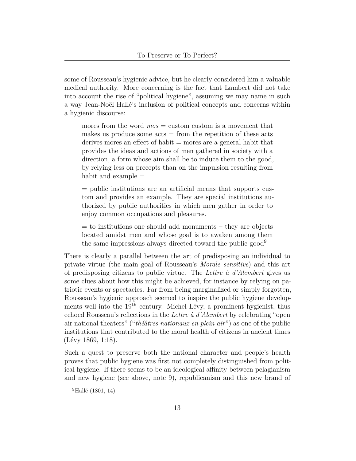some of Rousseau's hygienic advice, but he clearly considered him a valuable medical authority. More concerning is the fact that Lambert did not take into account the rise of "political hygiene", assuming we may name in such a way Jean-Noël Hallé's inclusion of political concepts and concerns within a hygienic discourse:

mores from the word *mos* = custom custom is a movement that makes us produce some  $acts = from the repetition of these acts$ derives mores an effect of habit = mores are a general habit that provides the ideas and actions of men gathered in society with a direction, a form whose aim shall be to induce them to the good, by relying less on precepts than on the impulsion resulting from habit and example  $=$ 

= public institutions are an artificial means that supports custom and provides an example. They are special institutions authorized by public authorities in which men gather in order to enjoy common occupations and pleasures.

 $=$  to institutions one should add monuments – they are objects located amidst men and whose goal is to awaken among them the same impressions always directed toward the public good[9](#page-12-0)

There is clearly a parallel between the art of predisposing an individual to private virtue (the main goal of Rousseau's *Morale sensitive*) and this art of predisposing citizens to public virtue. The *Lettre à d'Alembert* gives us some clues about how this might be achieved, for instance by relying on patriotic events or spectacles. Far from being marginalized or simply forgotten, Rousseau's hygienic approach seemed to inspire the public hygiene developments well into the 19th century. Michel Lévy, a prominent hygienist, thus echoed Rousseau's reflections in the *Lettre à d'Alembert* by celebrating "open air national theaters" ("*théâtres nationaux en plein air*") as one of the public institutions that contributed to the moral health of citizens in ancient times (Lévy [1869](#page-15-7), 1:18).

Such a quest to preserve both the national character and people's health proves that public hygiene was first not completely distinguished from political hygiene. If there seems to be an ideological affinity between pelagianism and new hygiene (see above, note 9), republicanism and this new brand of

<span id="page-12-0"></span><sup>&</sup>lt;sup>9</sup>Hallé [\(1801](#page-15-8), 14).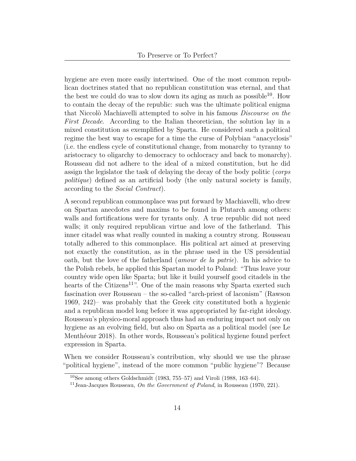hygiene are even more easily intertwined. One of the most common republican doctrines stated that no republican constitution was eternal, and that the best we could do was to slow down its aging as much as possible<sup>[10](#page-13-0)</sup>. How to contain the decay of the republic: such was the ultimate political enigma that Niccolò Machiavelli attempted to solve in his famous *Discourse on the First Decade*. According to the Italian theoretician, the solution lay in a mixed constitution as exemplified by Sparta. He considered such a political regime the best way to escape for a time the curse of Polybian "anacyclosis" (i.e. the endless cycle of constitutional change, from monarchy to tyranny to aristocracy to oligarchy to democracy to ochlocracy and back to monarchy). Rousseau did not adhere to the ideal of a mixed constitution, but he did assign the legislator the task of delaying the decay of the body politic (*corps politique*) defined as an artificial body (the only natural society is family, according to the *Social Contract*).

A second republican commonplace was put forward by Machiavelli, who drew on Spartan anecdotes and maxims to be found in Plutarch among others: walls and fortifications were for tyrants only. A true republic did not need walls; it only required republican virtue and love of the fatherland. This inner citadel was what really counted in making a country strong. Rousseau totally adhered to this commonplace. His political art aimed at preserving not exactly the constitution, as in the phrase used in the US presidential oath, but the love of the fatherland (*amour de la patrie*). In his advice to the Polish rebels, he applied this Spartan model to Poland: "Thus leave your country wide open like Sparta; but like it build yourself good citadels in the hearts of the Citizens<sup>[11](#page-13-1)</sup>". One of the main reasons why Sparta exerted such fascination over Rousseau – the so-called "arch-priest of laconism" (Rawson [1969](#page-15-9), 242)– was probably that the Greek city constituted both a hygienic and a republican model long before it was appropriated by far-right ideology. Rousseau's physico-moral approach thus had an enduring impact not only on hygiene as an evolving field, but also on Sparta as a political model (see Le Menthéour [2018](#page-15-10)). In other words, Rousseau's political hygiene found perfect expression in Sparta.

When we consider Rousseau's contribution, why should we use the phrase "political hygiene", instead of the more common "public hygiene"? Because

<span id="page-13-0"></span> $10$ See among others Goldschmidt ([1983,](#page-15-11) 755–57) and Viroli [\(1988](#page-16-10), 163–64).

<span id="page-13-1"></span><sup>11</sup>Jean-Jacques Rousseau, *On the Government of Poland*, in Rousseau ([1970,](#page-16-1) 221).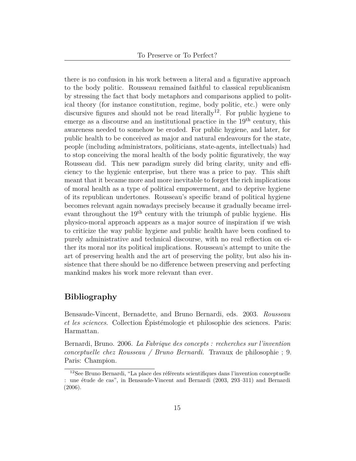there is no confusion in his work between a literal and a figurative approach to the body politic. Rousseau remained faithful to classical republicanism by stressing the fact that body metaphors and comparisons applied to political theory (for instance constitution, regime, body politic, etc.) were only discursive figures and should not be read literally<sup>[12](#page-14-1)</sup>. For public hygiene to emerge as a discourse and an institutional practice in the  $19<sup>th</sup>$  century, this awareness needed to somehow be eroded. For public hygiene, and later, for public health to be conceived as major and natural endeavours for the state, people (including administrators, politicians, state-agents, intellectuals) had to stop conceiving the moral health of the body politic figuratively, the way Rousseau did. This new paradigm surely did bring clarity, unity and efficiency to the hygienic enterprise, but there was a price to pay. This shift meant that it became more and more inevitable to forget the rich implications of moral health as a type of political empowerment, and to deprive hygiene of its republican undertones. Rousseau's specific brand of political hygiene becomes relevant again nowadays precisely because it gradually became irrelevant throughout the 19th century with the triumph of public hygiene. His physico-moral approach appears as a major source of inspiration if we wish to criticize the way public hygiene and public health have been confined to purely administrative and technical discourse, with no real reflection on either its moral nor its political implications. Rousseau's attempt to unite the art of preserving health and the art of preserving the polity, but also his insistence that there should be no difference between preserving and perfecting mankind makes his work more relevant than ever.

## <span id="page-14-0"></span>**Bibliography**

<span id="page-14-2"></span>Bensaude-Vincent, Bernadette, and Bruno Bernardi, eds. 2003. *Rousseau et les sciences*. Collection Épistémologie et philosophie des sciences. Paris: Harmattan.

<span id="page-14-3"></span>Bernardi, Bruno. 2006. *La Fabrique des concepts : recherches sur l'invention conceptuelle chez Rousseau / Bruno Bernardi.* Travaux de philosophie ; 9. Paris: Champion.

<span id="page-14-1"></span><sup>12</sup>See Bruno Bernardi, "La place des référents scientifiques dans l'invention conceptuelle : une étude de cas", in Bensaude-Vincent and Bernardi [\(2003](#page-14-2), 293–311) and Bernardi ([2006](#page-14-3)).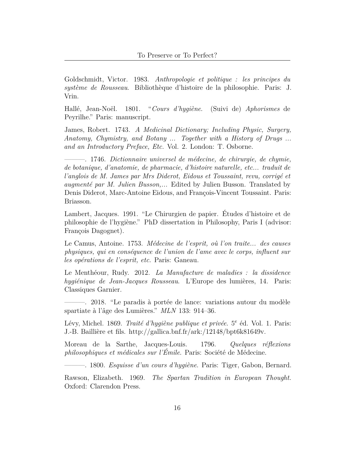<span id="page-15-11"></span>Goldschmidt, Victor. 1983. *Anthropologie et politique : les principes du système de Rousseau*. Bibliothèque d'histoire de la philosophie. Paris: J. Vrin.

<span id="page-15-8"></span>Hallé, Jean-Noël. 1801. "*Cours d'hygiène*. (Suivi de) *Aphorismes* de Peyrilhe." Paris: manuscript.

<span id="page-15-2"></span>James, Robert. 1743. *A Medicinal Dictionary; Including Physic, Surgery, Anatomy, Chymistry, and Botany ... Together with a History of Drugs ... and an Introductory Preface, Etc.* Vol. 2. London: T. Osborne.

<span id="page-15-3"></span>———. 1746. *Dictionnaire universel de médecine, de chirurgie, de chymie, de botanique, d'anatomie, de pharmacie, d'histoire naturelle, etc... traduit de l'anglois de M. James par Mrs Diderot, Eidous et Toussaint, revu, corrigé et augmenté par M. Julien Busson,...* Edited by Julien Busson. Translated by Denis Diderot, Marc-Antoine Eidous, and François-Vincent Toussaint. Paris: Briasson.

<span id="page-15-5"></span>Lambert, Jacques. 1991. "Le Chirurgien de papier. Études d'histoire et de philosophie de l'hygiène." PhD dissertation in Philosophy, Paris I (advisor: François Dagognet).

<span id="page-15-1"></span>Le Camus, Antoine. 1753. *Médecine de l'esprit, où l'on traite... des causes physiques, qui en conséquence de l'union de l'ame avec le corps, influent sur les opérations de l'esprit, etc.* Paris: Ganeau.

<span id="page-15-4"></span>Le Menthéour, Rudy. 2012. *La Manufacture de maladies : la dissidence hygiénique de Jean-Jacques Rousseau*. L'Europe des lumières, 14. Paris: Classiques Garnier.

<span id="page-15-10"></span>———. 2018. "Le paradis à portée de lance: variations autour du modèle spartiate à l'âge des Lumières." *MLN* 133: 914–36.

<span id="page-15-7"></span>Lévy, Michel. 1869. *Traité d'hygiène publique et privée*. 5<sup>e</sup> éd. Vol. 1. Paris: J.-B. Baillière et fils. <http://gallica.bnf.fr/ark:/12148/bpt6k81649v>.

<span id="page-15-6"></span>Moreau de la Sarthe, Jacques-Louis. 1796. *Quelques réflexions philosophiques et médicales sur l'Émile*. Paris: Société de Médecine.

<span id="page-15-0"></span>———. 1800. *Esquisse d'un cours d'hygiène*. Paris: Tiger, Gabon, Bernard.

<span id="page-15-9"></span>Rawson, Elizabeth. 1969. *The Spartan Tradition in European Thought.* Oxford: Clarendon Press.